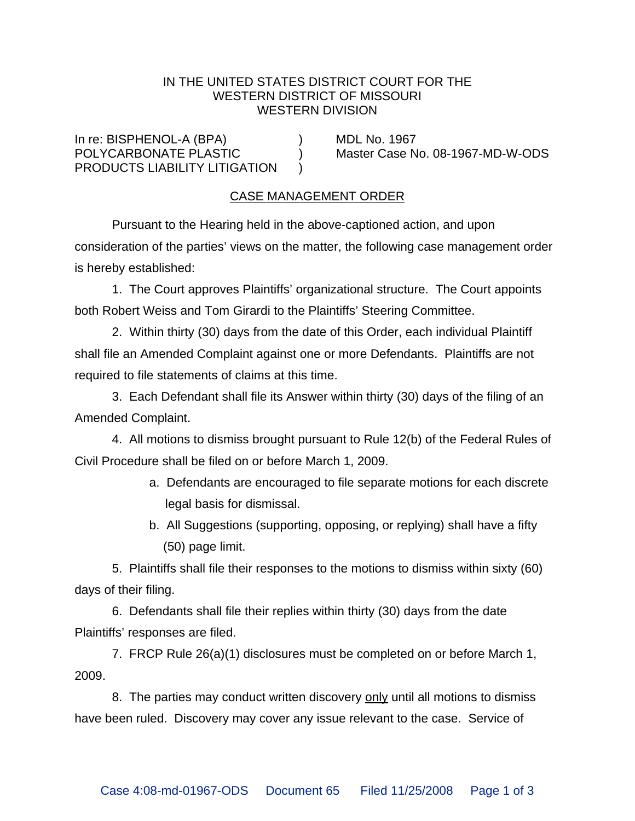## IN THE UNITED STATES DISTRICT COURT FOR THE WESTERN DISTRICT OF MISSOURI WESTERN DIVISION

In re: BISPHENOL-A (BPA) (BRA) PRODUCTS LIABILITY LITIGATION )

POLYCARBONATE PLASTIC ) Master Case No. 08-1967-MD-W-ODS

## CASE MANAGEMENT ORDER

Pursuant to the Hearing held in the above-captioned action, and upon consideration of the parties' views on the matter, the following case management order is hereby established:

1. The Court approves Plaintiffs' organizational structure. The Court appoints both Robert Weiss and Tom Girardi to the Plaintiffs' Steering Committee.

2. Within thirty (30) days from the date of this Order, each individual Plaintiff shall file an Amended Complaint against one or more Defendants. Plaintiffs are not required to file statements of claims at this time.

3. Each Defendant shall file its Answer within thirty (30) days of the filing of an Amended Complaint.

4. All motions to dismiss brought pursuant to Rule 12(b) of the Federal Rules of Civil Procedure shall be filed on or before March 1, 2009.

- a. Defendants are encouraged to file separate motions for each discrete legal basis for dismissal.
- b. All Suggestions (supporting, opposing, or replying) shall have a fifty (50) page limit.

5. Plaintiffs shall file their responses to the motions to dismiss within sixty (60) days of their filing.

6. Defendants shall file their replies within thirty (30) days from the date Plaintiffs' responses are filed.

7. FRCP Rule 26(a)(1) disclosures must be completed on or before March 1, 2009.

8. The parties may conduct written discovery only until all motions to dismiss have been ruled. Discovery may cover any issue relevant to the case. Service of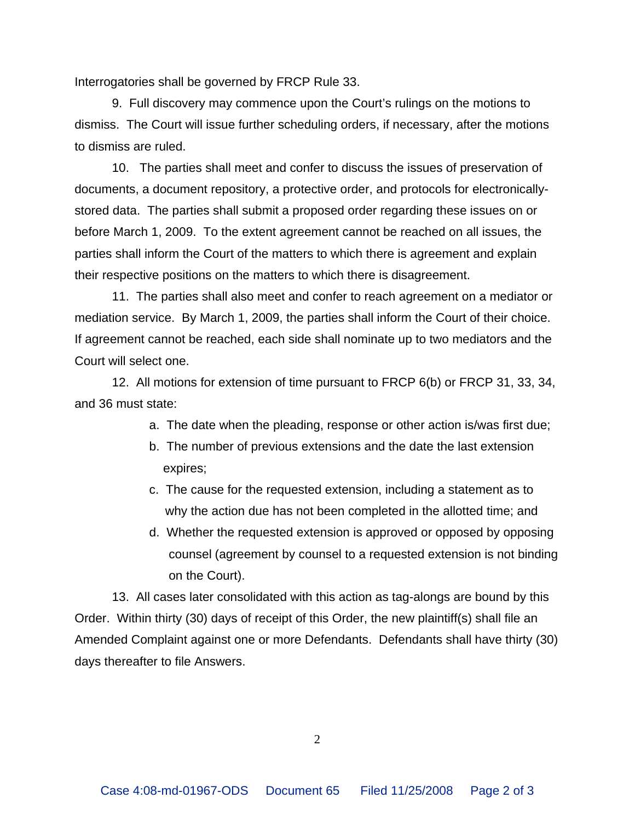Interrogatories shall be governed by FRCP Rule 33.

9. Full discovery may commence upon the Court's rulings on the motions to dismiss. The Court will issue further scheduling orders, if necessary, after the motions to dismiss are ruled.

10. The parties shall meet and confer to discuss the issues of preservation of documents, a document repository, a protective order, and protocols for electronicallystored data. The parties shall submit a proposed order regarding these issues on or before March 1, 2009. To the extent agreement cannot be reached on all issues, the parties shall inform the Court of the matters to which there is agreement and explain their respective positions on the matters to which there is disagreement.

11. The parties shall also meet and confer to reach agreement on a mediator or mediation service. By March 1, 2009, the parties shall inform the Court of their choice. If agreement cannot be reached, each side shall nominate up to two mediators and the Court will select one.

12. All motions for extension of time pursuant to FRCP 6(b) or FRCP 31, 33, 34, and 36 must state:

a. The date when the pleading, response or other action is/was first due;

- b. The number of previous extensions and the date the last extension expires;
- c. The cause for the requested extension, including a statement as to why the action due has not been completed in the allotted time; and
- d. Whether the requested extension is approved or opposed by opposing counsel (agreement by counsel to a requested extension is not binding on the Court).

13. All cases later consolidated with this action as tag-alongs are bound by this Order. Within thirty (30) days of receipt of this Order, the new plaintiff(s) shall file an Amended Complaint against one or more Defendants. Defendants shall have thirty (30) days thereafter to file Answers.

 $\mathcal{L}$